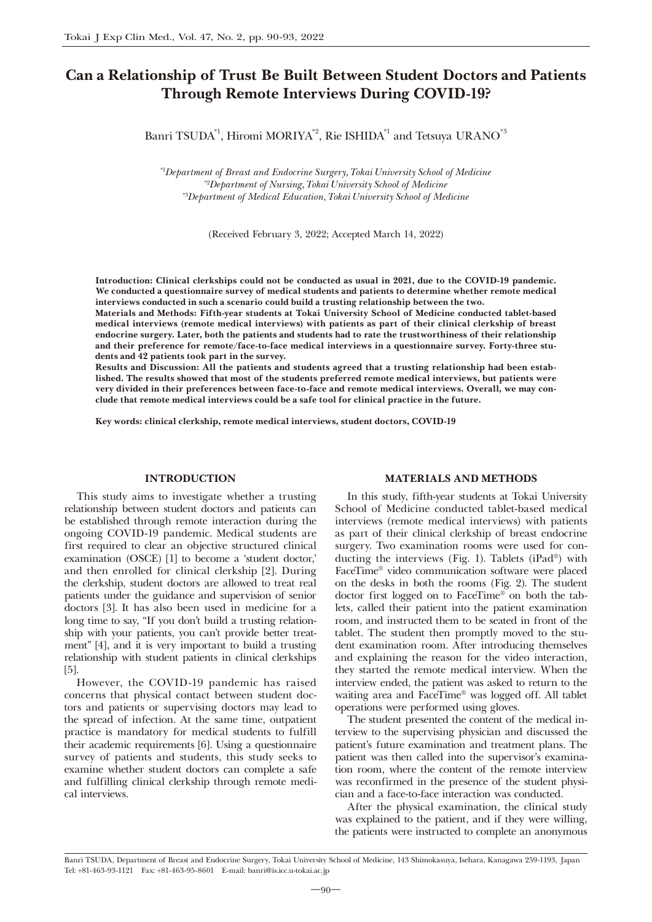# Can a Relationship of Trust Be Built Between Student Doctors and Patients Through Remote Interviews During COVID-19?

Banri TSUDA<sup>\*1</sup>, Hiromi MORIYA<sup>\*2</sup>, Rie ISHIDA<sup>\*1</sup> and Tetsuya URANO<sup>\*3</sup>

*\**1 *Department of Breast and Endocrine Surgery, Tokai University School of Medicine \**2 *Department of Nursing, Tokai University School of Medicine \**3 *Department of Medical Education, Tokai University School of Medicine*

(Received February 3, 2022; Accepted March 14, 2022)

Introduction: Clinical clerkships could not be conducted as usual in 2021, due to the COVID-19 pandemic. We conducted a questionnaire survey of medical students and patients to determine whether remote medical interviews conducted in such a scenario could build a trusting relationship between the two.

Materials and Methods: Fifth-year students at Tokai University School of Medicine conducted tablet-based medical interviews (remote medical interviews) with patients as part of their clinical clerkship of breast endocrine surgery. Later, both the patients and students had to rate the trustworthiness of their relationship and their preference for remote/face-to-face medical interviews in a questionnaire survey. Forty-three students and 42 patients took part in the survey.

Results and Discussion: All the patients and students agreed that a trusting relationship had been established. The results showed that most of the students preferred remote medical interviews, but patients were very divided in their preferences between face-to-face and remote medical interviews. Overall, we may conclude that remote medical interviews could be a safe tool for clinical practice in the future.

Key words: clinical clerkship, remote medical interviews, student doctors, COVID-19

### INTRODUCTION

This study aims to investigate whether a trusting relationship between student doctors and patients can be established through remote interaction during the ongoing COVID-19 pandemic. Medical students are first required to clear an objective structured clinical examination (OSCE) [1] to become a 'student doctor,' and then enrolled for clinical clerkship [2]. During the clerkship, student doctors are allowed to treat real patients under the guidance and supervision of senior doctors [3]. It has also been used in medicine for a long time to say, "If you don't build a trusting relationship with your patients, you can't provide better treatment" [4], and it is very important to build a trusting relationship with student patients in clinical clerkships [5].

However, the COVID-19 pandemic has raised concerns that physical contact between student doctors and patients or supervising doctors may lead to the spread of infection. At the same time, outpatient practice is mandatory for medical students to fulfill their academic requirements [6]. Using a questionnaire survey of patients and students, this study seeks to examine whether student doctors can complete a safe and fulfilling clinical clerkship through remote medical interviews.

## MATERIALS AND METHODS

In this study, fifth-year students at Tokai University School of Medicine conducted tablet-based medical interviews (remote medical interviews) with patients as part of their clinical clerkship of breast endocrine surgery. Two examination rooms were used for conducting the interviews (Fig. 1). Tablets (iPad®) with FaceTime® video communication software were placed on the desks in both the rooms (Fig. 2). The student doctor first logged on to FaceTime® on both the tablets, called their patient into the patient examination room, and instructed them to be seated in front of the tablet. The student then promptly moved to the student examination room. After introducing themselves and explaining the reason for the video interaction, they started the remote medical interview. When the interview ended, the patient was asked to return to the waiting area and FaceTime® was logged off. All tablet operations were performed using gloves.

The student presented the content of the medical interview to the supervising physician and discussed the patient's future examination and treatment plans. The patient was then called into the supervisor's examination room, where the content of the remote interview was reconfirmed in the presence of the student physician and a face-to-face interaction was conducted.

After the physical examination, the clinical study was explained to the patient, and if they were willing, the patients were instructed to complete an anonymous

Banri TSUDA, Department of Breast and Endocrine Surgery, Tokai University School of Medicine, 143 Shimokasuya, Isehara, Kanagawa 259-1193, Japan Tel: +81-463-93-1121 Fax: +81-463-95-8601 E-mail: banri@is.icc.u-tokai.ac.jp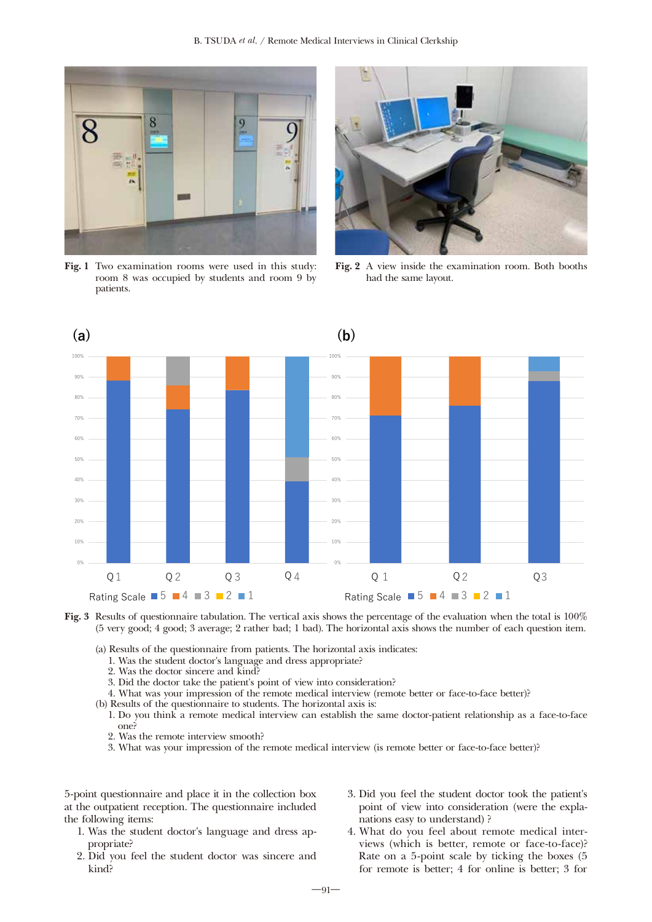

Fig. 1 Two examination rooms were used in this study: room 8 was occupied by students and room 9 by patients.



Fig. 2 A view inside the examination room. Both booths had the same layout.



Fig. 3 Results of questionnaire tabulation. The vertical axis shows the percentage of the evaluation when the total is 100% (5 very good; 4 good; 3 average; 2 rather bad; 1 bad). The horizontal axis shows the number of each question item.

- (a) Results of the questionnaire from patients. The horizontal axis indicates:
	- 1. Was the student doctor's language and dress appropriate?
	- 2. Was the doctor sincere and kind?
	- 3. Did the doctor take the patient's point of view into consideration?
	- 4. What was your impression of the remote medical interview (remote better or face-to-face better)?
- (b) Results of the questionnaire to students. The horizontal axis is:
	- 1. Do you think a remote medical interview can establish the same doctor-patient relationship as a face-to-face one?
	- 2. Was the remote interview smooth?
	- 3. What was your impression of the remote medical interview (is remote better or face-to-face better)?

5-point questionnaire and place it in the collection box at the outpatient reception. The questionnaire included the following items:

- 1. Was the student doctor's language and dress appropriate?
- 2. Did you feel the student doctor was sincere and kind?
- 3. Did you feel the student doctor took the patient's point of view into consideration (were the explanations easy to understand) ?
- 4. What do you feel about remote medical interviews (which is better, remote or face-to-face)? Rate on a 5-point scale by ticking the boxes (5 for remote is better; 4 for online is better; 3 for

 $-91-$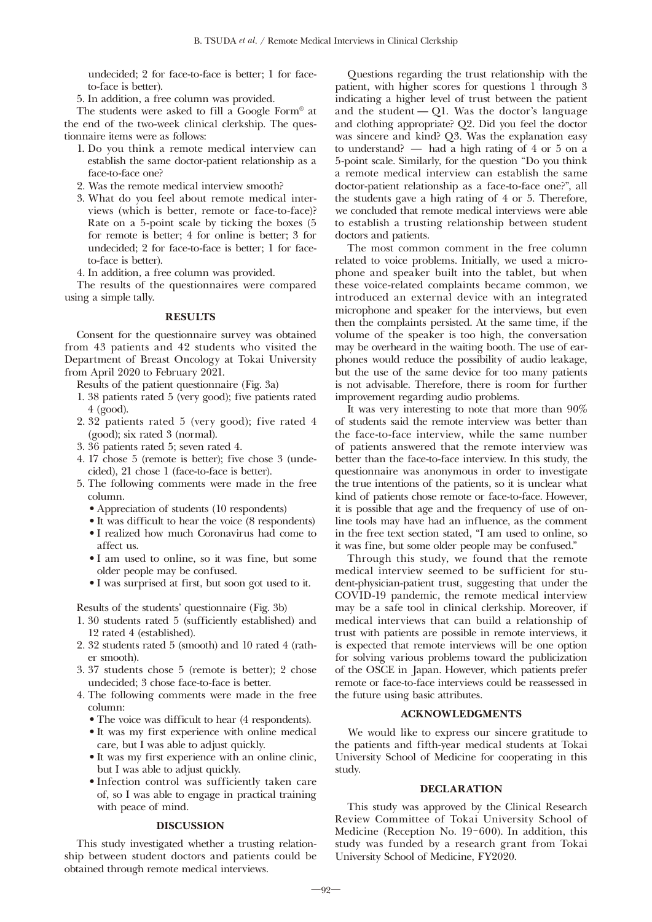undecided; 2 for face-to-face is better; 1 for faceto-face is better).

5. In addition, a free column was provided.

The students were asked to fill a Google Form® at the end of the two-week clinical clerkship. The questionnaire items were as follows:

- 1. Do you think a remote medical interview can establish the same doctor-patient relationship as a face-to-face one?
- 2. Was the remote medical interview smooth?
- 3. What do you feel about remote medical interviews (which is better, remote or face-to-face)? Rate on a 5-point scale by ticking the boxes (5 for remote is better; 4 for online is better; 3 for undecided; 2 for face-to-face is better; 1 for faceto-face is better).

4. In addition, a free column was provided.

The results of the questionnaires were compared using a simple tally.

# **RESULTS**

Consent for the questionnaire survey was obtained from 43 patients and 42 students who visited the Department of Breast Oncology at Tokai University from April 2020 to February 2021.

Results of the patient questionnaire (Fig. 3a)

- 1. 38 patients rated 5 (very good); five patients rated 4 (good).
- 2. 32 patients rated 5 (very good); five rated 4 (good); six rated 3 (normal).
- 3. 36 patients rated 5; seven rated 4.
- 4. 17 chose 5 (remote is better); five chose 3 (undecided), 21 chose 1 (face-to-face is better).
- 5. The following comments were made in the free column.
	- Appreciation of students (10 respondents)
	- It was difficult to hear the voice (8 respondents)
	- I realized how much Coronavirus had come to affect us.
	- I am used to online, so it was fine, but some older people may be confused.
	- I was surprised at first, but soon got used to it.

Results of the students' questionnaire (Fig. 3b)

- 1. 30 students rated 5 (sufficiently established) and 12 rated 4 (established).
- 2. 32 students rated 5 (smooth) and 10 rated 4 (rather smooth).
- 3. 37 students chose 5 (remote is better); 2 chose undecided; 3 chose face-to-face is better.
- 4. The following comments were made in the free column:
	- The voice was difficult to hear (4 respondents).
	- It was my first experience with online medical care, but I was able to adjust quickly.
	- It was my first experience with an online clinic, but I was able to adjust quickly.
	- Infection control was sufficiently taken care of, so I was able to engage in practical training with peace of mind.

#### DISCUSSION

This study investigated whether a trusting relationship between student doctors and patients could be obtained through remote medical interviews.

Questions regarding the trust relationship with the patient, with higher scores for questions 1 through 3 indicating a higher level of trust between the patient and the student  $-$  Q1. Was the doctor's language and clothing appropriate? Q2. Did you feel the doctor was sincere and kind? Q3. Was the explanation easy to understand? ̶ had a high rating of 4 or 5 on a 5-point scale. Similarly, for the question "Do you think a remote medical interview can establish the same doctor-patient relationship as a face-to-face one?", all the students gave a high rating of 4 or 5. Therefore, we concluded that remote medical interviews were able to establish a trusting relationship between student doctors and patients.

The most common comment in the free column related to voice problems. Initially, we used a microphone and speaker built into the tablet, but when these voice-related complaints became common, we introduced an external device with an integrated microphone and speaker for the interviews, but even then the complaints persisted. At the same time, if the volume of the speaker is too high, the conversation may be overheard in the waiting booth. The use of earphones would reduce the possibility of audio leakage, but the use of the same device for too many patients is not advisable. Therefore, there is room for further improvement regarding audio problems.

It was very interesting to note that more than 90% of students said the remote interview was better than the face-to-face interview, while the same number of patients answered that the remote interview was better than the face-to-face interview. In this study, the questionnaire was anonymous in order to investigate the true intentions of the patients, so it is unclear what kind of patients chose remote or face-to-face. However, it is possible that age and the frequency of use of online tools may have had an influence, as the comment in the free text section stated, "I am used to online, so it was fine, but some older people may be confused."

Through this study, we found that the remote medical interview seemed to be sufficient for student-physician-patient trust, suggesting that under the COVID-19 pandemic, the remote medical interview may be a safe tool in clinical clerkship. Moreover, if medical interviews that can build a relationship of trust with patients are possible in remote interviews, it is expected that remote interviews will be one option for solving various problems toward the publicization of the OSCE in Japan. However, which patients prefer remote or face-to-face interviews could be reassessed in the future using basic attributes.

## ACKNOWLEDGMENTS

We would like to express our sincere gratitude to the patients and fifth-year medical students at Tokai University School of Medicine for cooperating in this study.

#### DECLARATION

This study was approved by the Clinical Research Review Committee of Tokai University School of Medicine (Reception No. 19-600). In addition, this study was funded by a research grant from Tokai University School of Medicine, FY2020.